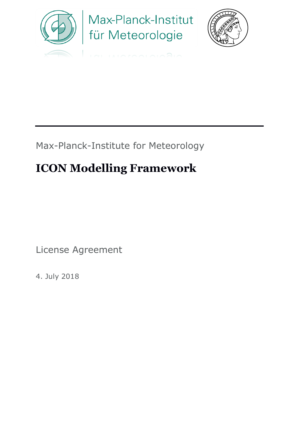



# **ICON Modelling Framework**

License Agreement

4. July 2018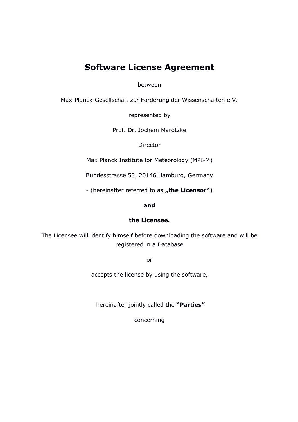### **Software License Agreement**

between

Max-Planck-Gesellschaft zur Förderung der Wissenschaften e.V.

represented by

Prof. Dr. Jochem Marotzke

**Director** 

Max Planck Institute for Meteorology (MPI-M)

Bundesstrasse 53, 20146 Hamburg, Germany

- (hereinafter referred to as **"the Licensor")** 

**and**

#### **the Licensee.**

The Licensee will identify himself before downloading the software and will be registered in a Database

or

accepts the license by using the software,

hereinafter jointly called the **"Parties"**

concerning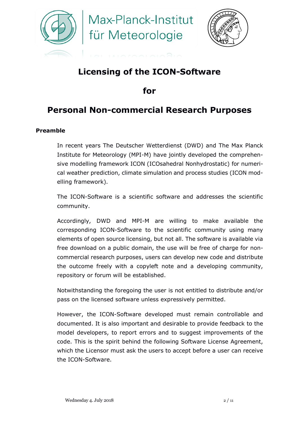



### **Licensing of the ICON-Software**

**for** 

### **Personal Non-commercial Research Purposes**

### **Preamble**

In recent years The Deutscher Wetterdienst (DWD) and The Max Planck Institute for Meteorology (MPI-M) have jointly developed the comprehensive modelling framework ICON (ICOsahedral Nonhydrostatic) for numerical weather prediction, climate simulation and process studies (ICON modelling framework).

The ICON-Software is a scientific software and addresses the scientific community.

Accordingly, DWD and MPI-M are willing to make available the corresponding ICON-Software to the scientific community using many elements of open source licensing, but not all. The software is available via free download on a public domain, the use will be free of charge for noncommercial research purposes, users can develop new code and distribute the outcome freely with a copyleft note and a developing community, repository or forum will be established.

Notwithstanding the foregoing the user is not entitled to distribute and/or pass on the licensed software unless expressively permitted.

However, the ICON-Software developed must remain controllable and documented. It is also important and desirable to provide feedback to the model developers, to report errors and to suggest improvements of the code. This is the spirit behind the following Software License Agreement, which the Licensor must ask the users to accept before a user can receive the ICON-Software.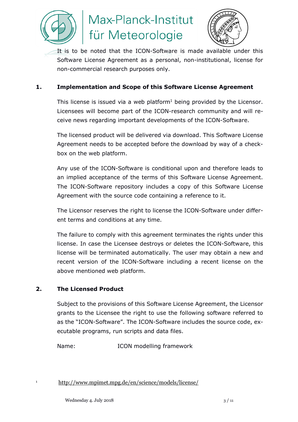



It is to be noted that the ICON-Software is made available under this Software License Agreement as a personal, non-institutional, license for non-commercial research purposes only.

### **1. Implementation and Scope of this Software License Agreement**

This license is issued via a web platform<sup>1</sup> being provided by the Licensor. Licensees will become part of the ICON-research community and will receive news regarding important developments of the ICON-Software.

The licensed product will be delivered via download. This Software License Agreement needs to be accepted before the download by way of a checkbox on the web platform.

Any use of the ICON-Software is conditional upon and therefore leads to an implied acceptance of the terms of this Software License Agreement. The ICON-Software repository includes a copy of this Software License Agreement with the source code containing a reference to it.

The Licensor reserves the right to license the ICON-Software under different terms and conditions at any time.

The failure to comply with this agreement terminates the rights under this license. In case the Licensee destroys or deletes the ICON-Software, this license will be terminated automatically. The user may obtain a new and recent version of the ICON-Software including a recent license on the above mentioned web platform.

### **2. The Licensed Product**

Subject to the provisions of this Software License Agreement, the Licensor grants to the Licensee the right to use the following software referred to as the "ICON-Software". The ICON-Software includes the source code, executable programs, run scripts and data files.

Name: ICON modelling framework

<sup>1</sup> http://www.mpimet.mpg.de/en/science/models/license/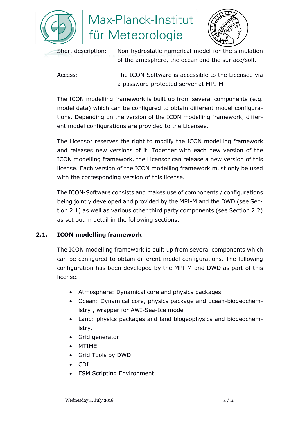

Short description: Non-hydrostatic numerical model for the simulation of the amosphere, the ocean and the surface/soil.

Access: The ICON-Software is accessible to the Licensee via a password protected server at MPI-M

The ICON modelling framework is built up from several components (e.g. model data) which can be configured to obtain different model configurations. Depending on the version of the ICON modelling framework, different model configurations are provided to the Licensee.

The Licensor reserves the right to modify the ICON modelling framework and releases new versions of it. Together with each new version of the ICON modelling framework, the Licensor can release a new version of this license. Each version of the ICON modelling framework must only be used with the corresponding version of this license.

The ICON-Software consists and makes use of components / configurations being jointly developed and provided by the MPI-M and the DWD (see Section 2.1) as well as various other third party components (see Section 2.2) as set out in detail in the following sections.

### **2.1. ICON modelling framework**

The ICON modelling framework is built up from several components which can be configured to obtain different model configurations. The following configuration has been developed by the MPI-M and DWD as part of this license.

- Atmosphere: Dynamical core and physics packages
- Ocean: Dynamical core, physics package and ocean-biogeochemistry , wrapper for AWI-Sea-Ice model
- Land: physics packages and land biogeophysics and biogeochemistry.
- Grid generator
- MTIME
- Grid Tools by DWD
- CDI
- ESM Scripting Environment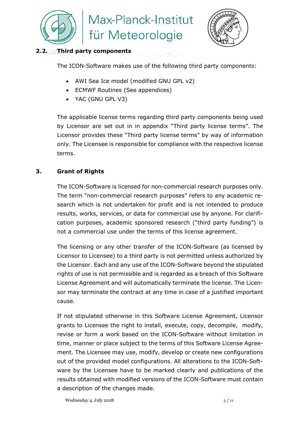



### **2.2. Third party components**

The ICON-Software makes use of the following third party components:

- AWI Sea Ice model (modified GNU GPL v2)
- ECMWF Routines (See appendices)
- YAC (GNU GPL V3)

The applicable license terms regarding third party components being used by Licensor are set out in in appendix "Third party license terms". The Licensor provides these "Third party license terms" by way of information only. The Licensee is responsible for compliance with the respective license terms.

### **3. Grant of Rights**

The ICON-Software is licensed for non-commercial research purposes only. The term "non-commercial research purposes" refers to any academic research which is not undertaken for profit and is not intended to produce results, works, services, or data for commercial use by anyone. For clarification purposes, academic sponsored research ("third party funding") is not a commercial use under the terms of this license agreement.

The licensing or any other transfer of the ICON-Software (as licensed by Licensor to Licensee) to a third party is not permitted unless authorized by the Licensor. Each and any use of the ICON-Software beyond the stipulated rights of use is not permissible and is regarded as a breach of this Software License Agreement and will automatically terminate the license. The Licensor may terminate the contract at any time in case of a justified important cause.

If not stipulated otherwise in this Software License Agreement, Licensor grants to Licensee the right to install, execute, copy, decompile, modify, revise or form a work based on the ICON-Software without limitation in time, manner or place subject to the terms of this Software License Agreement. The Licensee may use, modify, develop or create new configurations out of the provided model configurations. All alterations to the ICON-Software by the Licensee have to be marked clearly and publications of the results obtained with modified versions of the ICON-Software must contain a description of the changes made.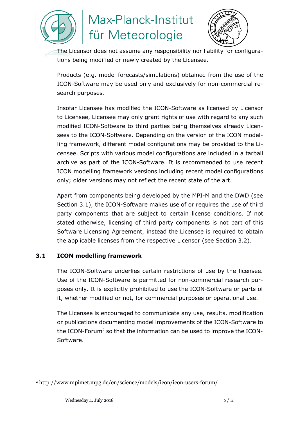



The Licensor does not assume any responsibility nor liability for configurations being modified or newly created by the Licensee.

Products (e.g. model forecasts/simulations) obtained from the use of the ICON-Software may be used only and exclusively for non-commercial research purposes.

Insofar Licensee has modified the ICON-Software as licensed by Licensor to Licensee, Licensee may only grant rights of use with regard to any such modified ICON-Software to third parties being themselves already Licensees to the ICON-Software. Depending on the version of the ICON modelling framework, different model configurations may be provided to the Licensee. Scripts with various model configurations are included in a tarball archive as part of the ICON-Software. It is recommended to use recent ICON modelling framework versions including recent model configurations only; older versions may not reflect the recent state of the art.

Apart from components being developed by the MPI-M and the DWD (see Section 3.1), the ICON-Software makes use of or requires the use of third party components that are subject to certain license conditions. If not stated otherwise, licensing of third party components is not part of this Software Licensing Agreement, instead the Licensee is required to obtain the applicable licenses from the respective Licensor (see Section 3.2).

### **3.1 ICON modelling framework**

The ICON-Software underlies certain restrictions of use by the licensee. Use of the ICON-Software is permitted for non-commercial research purposes only. It is explicitly prohibited to use the ICON-Software or parts of it, whether modified or not, for commercial purposes or operational use.

The Licensee is encouraged to communicate any use, results, modification or publications documenting model improvements of the ICON-Software to the ICON-Forum2 so that the information can be used to improve the ICON-Software.

<sup>2</sup> http://www.mpimet.mpg.de/en/science/models/icon/icon-users-forum/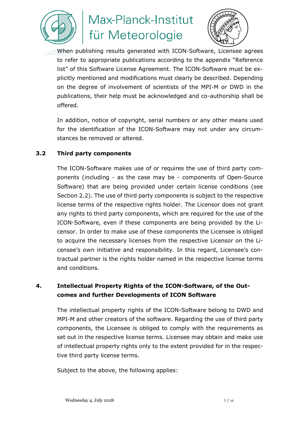



When publishing results generated with ICON-Software, Licensee agrees to refer to appropriate publications according to the appendix "Reference list" of this Software License Agreement. The ICON-Software must be explicitly mentioned and modifications must clearly be described. Depending on the degree of involvement of scientists of the MPI-M or DWD in the publications, their help must be acknowledged and co-authorship shall be offered.

In addition, notice of copyright, serial numbers or any other means used for the identification of the ICON-Software may not under any circumstances be removed or altered.

### **3.2 Third party components**

The ICON-Software makes use of or requires the use of third party components (including - as the case may be - components of Open-Source Software) that are being provided under certain license conditions (see Section 2.2). The use of third party components is subject to the respective license terms of the respective rights holder. The Licensor does not grant any rights to third party components, which are required for the use of the ICON-Software, even if these components are being provided by the Licensor. In order to make use of these components the Licensee is obliged to acquire the necessary licenses from the respective Licensor on the Licensee's own initiative and responsibility. In this regard, Licensee's contractual partner is the rights holder named in the respective license terms and conditions.

### **4. Intellectual Property Rights of the ICON-Software, of the Outcomes and further Developments of ICON Software**

The intellectual property rights of the ICON-Software belong to DWD and MPI-M and other creators of the software. Regarding the use of third party components, the Licensee is obliged to comply with the requirements as set out in the respective license terms. Licensee may obtain and make use of intellectual property rights only to the extent provided for in the respective third party license terms.

Subject to the above, the following applies: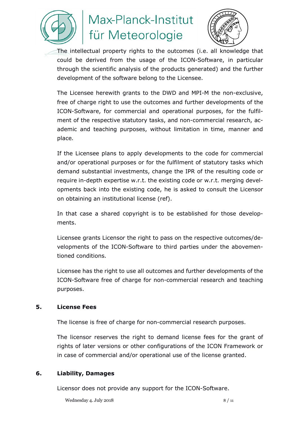



The intellectual property rights to the outcomes (i.e. all knowledge that could be derived from the usage of the ICON-Software, in particular through the scientific analysis of the products generated) and the further development of the software belong to the Licensee.

The Licensee herewith grants to the DWD and MPI-M the non-exclusive, free of charge right to use the outcomes and further developments of the ICON-Software, for commercial and operational purposes, for the fulfilment of the respective statutory tasks, and non-commercial research, academic and teaching purposes, without limitation in time, manner and place.

If the Licensee plans to apply developments to the code for commercial and/or operational purposes or for the fulfilment of statutory tasks which demand substantial investments, change the IPR of the resulting code or require in-depth expertise w.r.t. the existing code or w.r.t. merging developments back into the existing code, he is asked to consult the Licensor on obtaining an institutional license (ref).

In that case a shared copyright is to be established for those developments.

Licensee grants Licensor the right to pass on the respective outcomes/developments of the ICON-Software to third parties under the abovementioned conditions.

Licensee has the right to use all outcomes and further developments of the ICON-Software free of charge for non-commercial research and teaching purposes.

### **5. License Fees**

The license is free of charge for non-commercial research purposes.

The licensor reserves the right to demand license fees for the grant of rights of later versions or other configurations of the ICON Framework or in case of commercial and/or operational use of the license granted.

#### **6. Liability, Damages**

Licensor does not provide any support for the ICON-Software.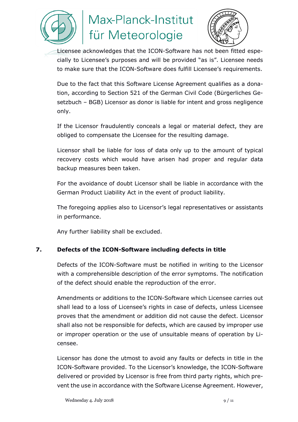



Licensee acknowledges that the ICON-Software has not been fitted especially to Licensee's purposes and will be provided "as is". Licensee needs to make sure that the ICON-Software does fulfill Licensee's requirements.

Due to the fact that this Software License Agreement qualifies as a donation, according to Section 521 of the German Civil Code (Bürgerliches Gesetzbuch – BGB) Licensor as donor is liable for intent and gross negligence only.

If the Licensor fraudulently conceals a legal or material defect, they are obliged to compensate the Licensee for the resulting damage.

Licensor shall be liable for loss of data only up to the amount of typical recovery costs which would have arisen had proper and regular data backup measures been taken.

For the avoidance of doubt Licensor shall be liable in accordance with the German Product Liability Act in the event of product liability.

The foregoing applies also to Licensor's legal representatives or assistants in performance.

Any further liability shall be excluded.

### **7. Defects of the ICON-Software including defects in title**

Defects of the ICON-Software must be notified in writing to the Licensor with a comprehensible description of the error symptoms. The notification of the defect should enable the reproduction of the error.

Amendments or additions to the ICON-Software which Licensee carries out shall lead to a loss of Licensee's rights in case of defects, unless Licensee proves that the amendment or addition did not cause the defect. Licensor shall also not be responsible for defects, which are caused by improper use or improper operation or the use of unsuitable means of operation by Licensee.

Licensor has done the utmost to avoid any faults or defects in title in the ICON-Software provided. To the Licensor's knowledge, the ICON-Software delivered or provided by Licensor is free from third party rights, which prevent the use in accordance with the Software License Agreement. However,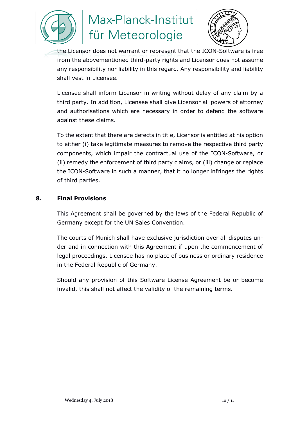



the Licensor does not warrant or represent that the ICON-Software is free from the abovementioned third-party rights and Licensor does not assume any responsibility nor liability in this regard. Any responsibility and liability shall vest in Licensee.

Licensee shall inform Licensor in writing without delay of any claim by a third party. In addition, Licensee shall give Licensor all powers of attorney and authorisations which are necessary in order to defend the software against these claims.

To the extent that there are defects in title, Licensor is entitled at his option to either (i) take legitimate measures to remove the respective third party components, which impair the contractual use of the ICON-Software, or (ii) remedy the enforcement of third party claims, or (iii) change or replace the ICON-Software in such a manner, that it no longer infringes the rights of third parties.

### **8. Final Provisions**

This Agreement shall be governed by the laws of the Federal Republic of Germany except for the UN Sales Convention.

The courts of Munich shall have exclusive jurisdiction over all disputes under and in connection with this Agreement if upon the commencement of legal proceedings, Licensee has no place of business or ordinary residence in the Federal Republic of Germany.

Should any provision of this Software License Agreement be or become invalid, this shall not affect the validity of the remaining terms.